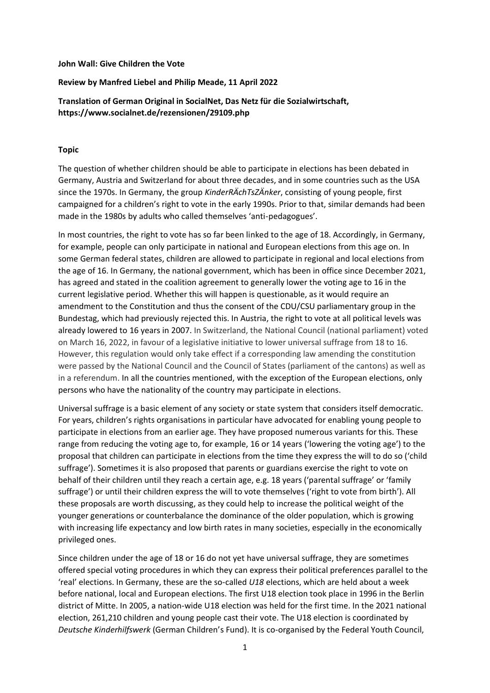#### **John Wall: Give Children the Vote**

## **Review by Manfred Liebel and Philip Meade, 11 April 2022**

**Translation of German Original in SocialNet, Das Netz für die Sozialwirtschaft, https://www.socialnet.de/rezensionen/29109.php**

#### **Topic**

The question of whether children should be able to participate in elections has been debated in Germany, Austria and Switzerland for about three decades, and in some countries such as the USA since the 1970s. In Germany, the group *KinderRÄchTsZÄnker*, consisting of young people, first campaigned for a children's right to vote in the early 1990s. Prior to that, similar demands had been made in the 1980s by adults who called themselves 'anti-pedagogues'.

In most countries, the right to vote has so far been linked to the age of 18. Accordingly, in Germany, for example, people can only participate in national and European elections from this age on. In some German federal states, children are allowed to participate in regional and local elections from the age of 16. In Germany, the national government, which has been in office since December 2021, has agreed and stated in the coalition agreement to generally lower the voting age to 16 in the current legislative period. Whether this will happen is questionable, as it would require an amendment to the Constitution and thus the consent of the CDU/CSU parliamentary group in the Bundestag, which had previously rejected this. In Austria, the right to vote at all political levels was already lowered to 16 years in 2007. In Switzerland, the National Council (national parliament) voted on March 16, 2022, in favour of a legislative initiative to lower universal suffrage from 18 to 16. However, this regulation would only take effect if a corresponding law amending the constitution were passed by the National Council and the Council of States (parliament of the cantons) as well as in a referendum. In all the countries mentioned, with the exception of the European elections, only persons who have the nationality of the country may participate in elections.

Universal suffrage is a basic element of any society or state system that considers itself democratic. For years, children's rights organisations in particular have advocated for enabling young people to participate in elections from an earlier age. They have proposed numerous variants for this. These range from reducing the voting age to, for example, 16 or 14 years ('lowering the voting age') to the proposal that children can participate in elections from the time they express the will to do so ('child suffrage'). Sometimes it is also proposed that parents or guardians exercise the right to vote on behalf of their children until they reach a certain age, e.g. 18 years ('parental suffrage' or 'family suffrage') or until their children express the will to vote themselves ('right to vote from birth'). All these proposals are worth discussing, as they could help to increase the political weight of the younger generations or counterbalance the dominance of the older population, which is growing with increasing life expectancy and low birth rates in many societies, especially in the economically privileged ones.

Since children under the age of 18 or 16 do not yet have universal suffrage, they are sometimes offered special voting procedures in which they can express their political preferences parallel to the 'real' elections. In Germany, these are the so-called *U18* elections, which are held about a week before national, local and European elections. The first U18 election took place in 1996 in the Berlin district of Mitte. In 2005, a nation-wide U18 election was held for the first time. In the 2021 national election, 261,210 children and young people cast their vote. The U18 election is coordinated by *Deutsche Kinderhilfswerk* (German Children's Fund). It is co-organised by the Federal Youth Council,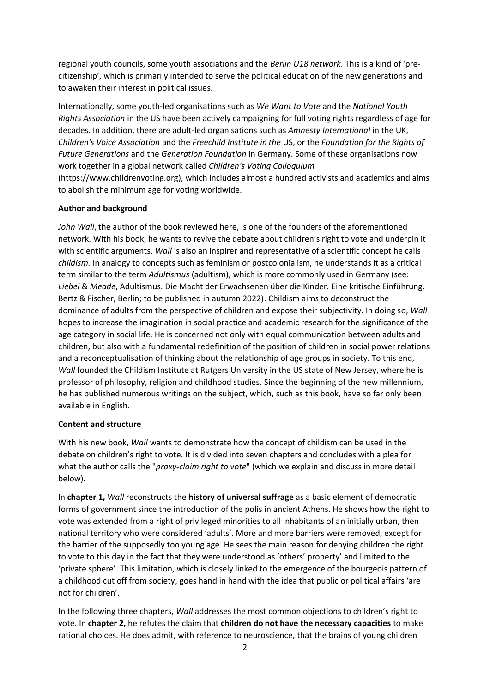regional youth councils, some youth associations and the *Berlin U18 network*. This is a kind of 'precitizenship', which is primarily intended to serve the political education of the new generations and to awaken their interest in political issues.

Internationally, some youth-led organisations such as *We Want to Vote* and the *National Youth Rights Association* in the US have been actively campaigning for full voting rights regardless of age for decades. In addition, there are adult-led organisations such as *Amnesty International* in the UK, *Children's Voice Association* and the *Freechild Institute in the* US, or the *Foundation for the Rights of Future Generations* and the *Generation Foundation* in Germany. Some of these organisations now work together in a global network called *Children's Voting Colloquium*  (https://www.childrenvoting.org), which includes almost a hundred activists and academics and aims

# **Author and background**

to abolish the minimum age for voting worldwide.

*John Wall*, the author of the book reviewed here, is one of the founders of the aforementioned network. With his book, he wants to revive the debate about children's right to vote and underpin it with scientific arguments. *Wall* is also an inspirer and representative of a scientific concept he calls *childism.* In analogy to concepts such as feminism or postcolonialism, he understands it as a critical term similar to the term *Adultismus* (adultism), which is more commonly used in Germany (see: *Liebel* & *Meade*, Adultismus. Die Macht der Erwachsenen über die Kinder. Eine kritische Einführung. Bertz & Fischer, Berlin; to be published in autumn 2022). Childism aims to deconstruct the dominance of adults from the perspective of children and expose their subjectivity. In doing so, *Wall*  hopes to increase the imagination in social practice and academic research for the significance of the age category in social life. He is concerned not only with equal communication between adults and children, but also with a fundamental redefinition of the position of children in social power relations and a reconceptualisation of thinking about the relationship of age groups in society. To this end, Wall founded the Childism Institute at Rutgers University in the US state of New Jersey, where he is professor of philosophy, religion and childhood studies. Since the beginning of the new millennium, he has published numerous writings on the subject, which, such as this book, have so far only been available in English.

## **Content and structure**

With his new book, *Wall* wants to demonstrate how the concept of childism can be used in the debate on children's right to vote. It is divided into seven chapters and concludes with a plea for what the author calls the "*proxy-claim right to vote*" (which we explain and discuss in more detail below).

In **chapter 1,** *Wall* reconstructs the **history of universal suffrage** as a basic element of democratic forms of government since the introduction of the polis in ancient Athens. He shows how the right to vote was extended from a right of privileged minorities to all inhabitants of an initially urban, then national territory who were considered 'adults'. More and more barriers were removed, except for the barrier of the supposedly too young age. He sees the main reason for denying children the right to vote to this day in the fact that they were understood as 'others' property' and limited to the 'private sphere'. This limitation, which is closely linked to the emergence of the bourgeois pattern of a childhood cut off from society, goes hand in hand with the idea that public or political affairs 'are not for children'.

In the following three chapters, *Wall* addresses the most common objections to children's right to vote. In **chapter 2,** he refutes the claim that **children do not have the necessary capacities** to make rational choices. He does admit, with reference to neuroscience, that the brains of young children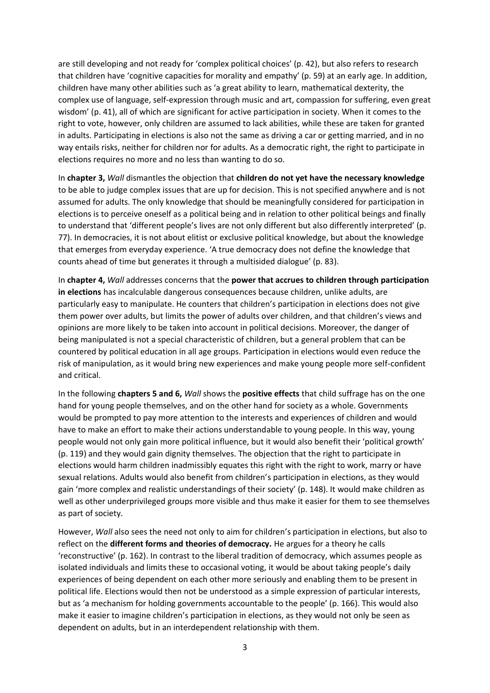are still developing and not ready for 'complex political choices' (p. 42), but also refers to research that children have 'cognitive capacities for morality and empathy' (p. 59) at an early age. In addition, children have many other abilities such as 'a great ability to learn, mathematical dexterity, the complex use of language, self-expression through music and art, compassion for suffering, even great wisdom' (p. 41), all of which are significant for active participation in society. When it comes to the right to vote, however, only children are assumed to lack abilities, while these are taken for granted in adults. Participating in elections is also not the same as driving a car or getting married, and in no way entails risks, neither for children nor for adults. As a democratic right, the right to participate in elections requires no more and no less than wanting to do so.

In **chapter 3,** *Wall* dismantles the objection that **children do not yet have the necessary knowledge**  to be able to judge complex issues that are up for decision. This is not specified anywhere and is not assumed for adults. The only knowledge that should be meaningfully considered for participation in elections is to perceive oneself as a political being and in relation to other political beings and finally to understand that 'different people's lives are not only different but also differently interpreted' (p. 77). In democracies, it is not about elitist or exclusive political knowledge, but about the knowledge that emerges from everyday experience. 'A true democracy does not define the knowledge that counts ahead of time but generates it through a multisided dialogue' (p. 83).

In **chapter 4,** *Wall* addresses concerns that the **power that accrues to children through participation in elections** has incalculable dangerous consequences because children, unlike adults, are particularly easy to manipulate. He counters that children's participation in elections does not give them power over adults, but limits the power of adults over children, and that children's views and opinions are more likely to be taken into account in political decisions. Moreover, the danger of being manipulated is not a special characteristic of children, but a general problem that can be countered by political education in all age groups. Participation in elections would even reduce the risk of manipulation, as it would bring new experiences and make young people more self-confident and critical.

In the following **chapters 5 and 6,** *Wall* shows the **positive effects** that child suffrage has on the one hand for young people themselves, and on the other hand for society as a whole. Governments would be prompted to pay more attention to the interests and experiences of children and would have to make an effort to make their actions understandable to young people. In this way, young people would not only gain more political influence, but it would also benefit their 'political growth' (p. 119) and they would gain dignity themselves. The objection that the right to participate in elections would harm children inadmissibly equates this right with the right to work, marry or have sexual relations. Adults would also benefit from children's participation in elections, as they would gain 'more complex and realistic understandings of their society' (p. 148). It would make children as well as other underprivileged groups more visible and thus make it easier for them to see themselves as part of society.

However, *Wall* also sees the need not only to aim for children's participation in elections, but also to reflect on the **different forms and theories of democracy.** He argues for a theory he calls 'reconstructive' (p. 162). In contrast to the liberal tradition of democracy, which assumes people as isolated individuals and limits these to occasional voting, it would be about taking people's daily experiences of being dependent on each other more seriously and enabling them to be present in political life. Elections would then not be understood as a simple expression of particular interests, but as 'a mechanism for holding governments accountable to the people' (p. 166). This would also make it easier to imagine children's participation in elections, as they would not only be seen as dependent on adults, but in an interdependent relationship with them.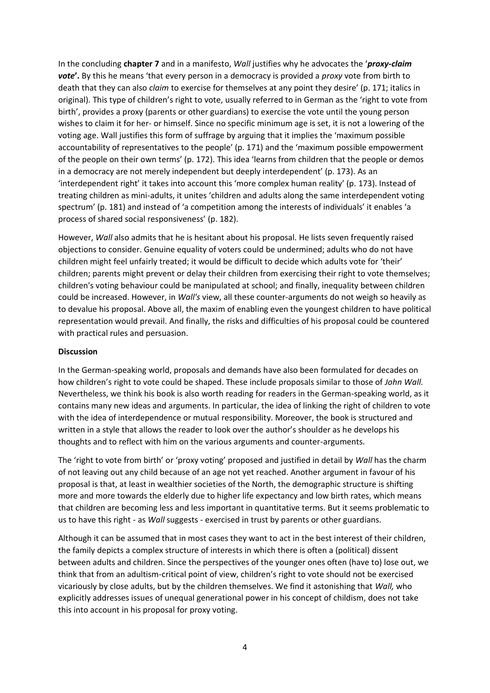In the concluding **chapter 7** and in a manifesto, *Wall* justifies why he advocates the '*proxy-claim vote***'.** By this he means 'that every person in a democracy is provided a *proxy* vote from birth to death that they can also *claim* to exercise for themselves at any point they desire' (p. 171; italics in original). This type of children's right to vote, usually referred to in German as the 'right to vote from birth', provides a proxy (parents or other guardians) to exercise the vote until the young person wishes to claim it for her- or himself. Since no specific minimum age is set, it is not a lowering of the voting age. Wall justifies this form of suffrage by arguing that it implies the 'maximum possible accountability of representatives to the people' (p. 171) and the 'maximum possible empowerment of the people on their own terms' (p. 172). This idea 'learns from children that the people or demos in a democracy are not merely independent but deeply interdependent' (p. 173). As an 'interdependent right' it takes into account this 'more complex human reality' (p. 173). Instead of treating children as mini-adults, it unites 'children and adults along the same interdependent voting spectrum' (p. 181) and instead of 'a competition among the interests of individuals' it enables 'a process of shared social responsiveness' (p. 182).

However, *Wall* also admits that he is hesitant about his proposal. He lists seven frequently raised objections to consider. Genuine equality of voters could be undermined; adults who do not have children might feel unfairly treated; it would be difficult to decide which adults vote for 'their' children; parents might prevent or delay their children from exercising their right to vote themselves; children's voting behaviour could be manipulated at school; and finally, inequality between children could be increased. However, in *Wall's* view, all these counter-arguments do not weigh so heavily as to devalue his proposal. Above all, the maxim of enabling even the youngest children to have political representation would prevail. And finally, the risks and difficulties of his proposal could be countered with practical rules and persuasion.

## **Discussion**

In the German-speaking world, proposals and demands have also been formulated for decades on how children's right to vote could be shaped. These include proposals similar to those of *John Wall.* Nevertheless, we think his book is also worth reading for readers in the German-speaking world, as it contains many new ideas and arguments. In particular, the idea of linking the right of children to vote with the idea of interdependence or mutual responsibility. Moreover, the book is structured and written in a style that allows the reader to look over the author's shoulder as he develops his thoughts and to reflect with him on the various arguments and counter-arguments.

The 'right to vote from birth' or 'proxy voting' proposed and justified in detail by *Wall* has the charm of not leaving out any child because of an age not yet reached. Another argument in favour of his proposal is that, at least in wealthier societies of the North, the demographic structure is shifting more and more towards the elderly due to higher life expectancy and low birth rates, which means that children are becoming less and less important in quantitative terms. But it seems problematic to us to have this right - as *Wall* suggests - exercised in trust by parents or other guardians.

Although it can be assumed that in most cases they want to act in the best interest of their children, the family depicts a complex structure of interests in which there is often a (political) dissent between adults and children. Since the perspectives of the younger ones often (have to) lose out, we think that from an adultism-critical point of view, children's right to vote should not be exercised vicariously by close adults, but by the children themselves. We find it astonishing that *Wall,* who explicitly addresses issues of unequal generational power in his concept of childism, does not take this into account in his proposal for proxy voting.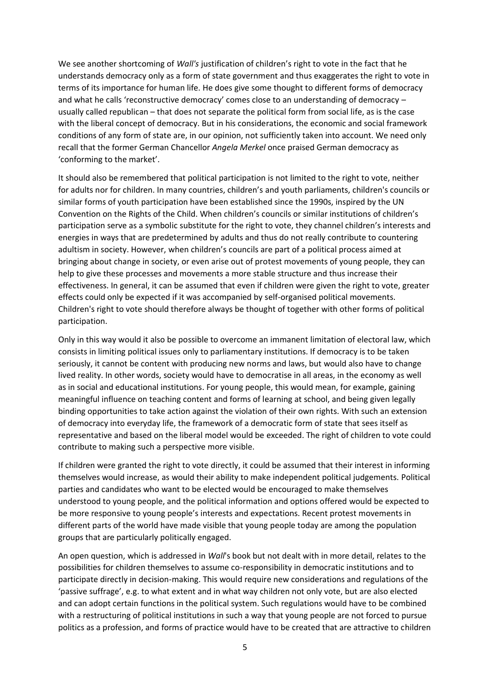We see another shortcoming of *Wall's* justification of children's right to vote in the fact that he understands democracy only as a form of state government and thus exaggerates the right to vote in terms of its importance for human life. He does give some thought to different forms of democracy and what he calls 'reconstructive democracy' comes close to an understanding of democracy – usually called republican – that does not separate the political form from social life, as is the case with the liberal concept of democracy. But in his considerations, the economic and social framework conditions of any form of state are, in our opinion, not sufficiently taken into account. We need only recall that the former German Chancellor *Angela Merkel* once praised German democracy as 'conforming to the market'.

It should also be remembered that political participation is not limited to the right to vote, neither for adults nor for children. In many countries, children's and youth parliaments, children's councils or similar forms of youth participation have been established since the 1990s, inspired by the UN Convention on the Rights of the Child. When children's councils or similar institutions of children's participation serve as a symbolic substitute for the right to vote, they channel children's interests and energies in ways that are predetermined by adults and thus do not really contribute to countering adultism in society. However, when children's councils are part of a political process aimed at bringing about change in society, or even arise out of protest movements of young people, they can help to give these processes and movements a more stable structure and thus increase their effectiveness. In general, it can be assumed that even if children were given the right to vote, greater effects could only be expected if it was accompanied by self-organised political movements. Children's right to vote should therefore always be thought of together with other forms of political participation.

Only in this way would it also be possible to overcome an immanent limitation of electoral law, which consists in limiting political issues only to parliamentary institutions. If democracy is to be taken seriously, it cannot be content with producing new norms and laws, but would also have to change lived reality. In other words, society would have to democratise in all areas, in the economy as well as in social and educational institutions. For young people, this would mean, for example, gaining meaningful influence on teaching content and forms of learning at school, and being given legally binding opportunities to take action against the violation of their own rights. With such an extension of democracy into everyday life, the framework of a democratic form of state that sees itself as representative and based on the liberal model would be exceeded. The right of children to vote could contribute to making such a perspective more visible.

If children were granted the right to vote directly, it could be assumed that their interest in informing themselves would increase, as would their ability to make independent political judgements. Political parties and candidates who want to be elected would be encouraged to make themselves understood to young people, and the political information and options offered would be expected to be more responsive to young people's interests and expectations. Recent protest movements in different parts of the world have made visible that young people today are among the population groups that are particularly politically engaged.

An open question, which is addressed in *Wall*'s book but not dealt with in more detail, relates to the possibilities for children themselves to assume co-responsibility in democratic institutions and to participate directly in decision-making. This would require new considerations and regulations of the 'passive suffrage', e.g. to what extent and in what way children not only vote, but are also elected and can adopt certain functions in the political system. Such regulations would have to be combined with a restructuring of political institutions in such a way that young people are not forced to pursue politics as a profession, and forms of practice would have to be created that are attractive to children